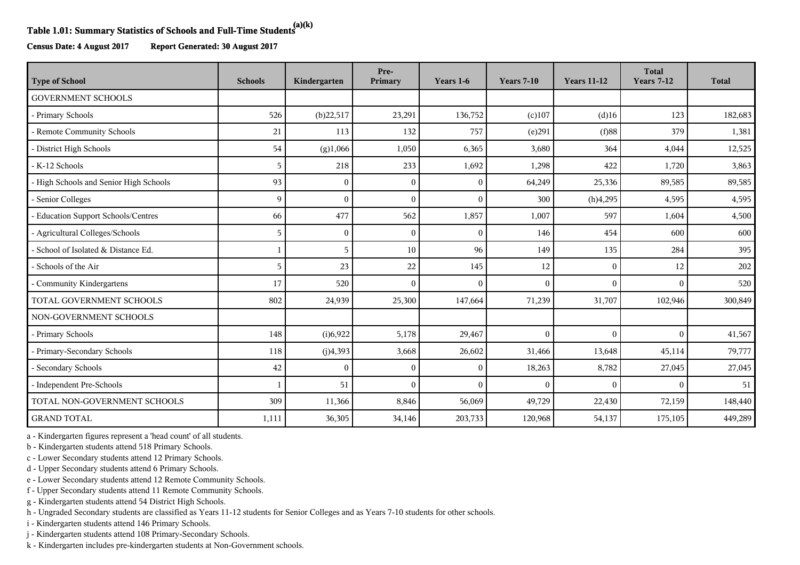## **Table 1.01: Summary Statistics of Schools and Full-Time Students(a)(k)**

**Census Date: 4 August 2017 Report Generated: 30 August 2017**

| <b>Type of School</b>                  | <b>Schools</b> | Kindergarten | Pre-<br>Primary | Years 1-6    | <b>Years 7-10</b> | <b>Years 11-12</b> | <b>Total</b><br><b>Years 7-12</b> | <b>Total</b> |
|----------------------------------------|----------------|--------------|-----------------|--------------|-------------------|--------------------|-----------------------------------|--------------|
| <b>GOVERNMENT SCHOOLS</b>              |                |              |                 |              |                   |                    |                                   |              |
| - Primary Schools                      | 526            | (b)22,517    | 23,291          | 136,752      | $(c)$ 107         | $(d)$ 16           | 123                               | 182,683      |
| - Remote Community Schools             | 21             | 113          | 132             | 757          | (e)291            | $(f)$ 88           | 379                               | 1,381        |
| - District High Schools                | 54             | (g)1,066     | 1,050           | 6,365        | 3,680             | 364                | 4,044                             | 12,525       |
| - K-12 Schools                         | 5              | 218          | 233             | 1,692        | 1,298             | 422                | 1,720                             | 3,863        |
| - High Schools and Senior High Schools | 93             | $\Omega$     | $\sqrt{ }$      | $\mathbf{0}$ | 64,249            | 25,336             | 89,585                            | 89,585       |
| - Senior Colleges                      | 9              | $\Omega$     | $\sqrt{ }$      | $\mathbf{0}$ | 300               | (h)4,295           | 4,595                             | 4,595        |
| - Education Support Schools/Centres    | 66             | 477          | 562             | 1,857        | 1,007             | 597                | 1,604                             | 4,500        |
| - Agricultural Colleges/Schools        | 5              | $\Omega$     | $\sqrt{ }$      | $\mathbf{0}$ | 146               | 454                | 600                               | 600          |
| - School of Isolated & Distance Ed.    | $\mathbf{1}$   | 5            | 10              | 96           | 149               | 135                | 284                               | 395          |
| - Schools of the Air                   | 5              | 23           | 22              | 145          | 12                | $\mathbf{0}$       | 12                                | 202          |
| - Community Kindergartens              | 17             | 520          | $\sqrt{ }$      | $\theta$     | $\theta$          | $\Omega$           | $\Omega$                          | 520          |
| TOTAL GOVERNMENT SCHOOLS               | 802            | 24,939       | 25,300          | 147,664      | 71,239            | 31,707             | 102,946                           | 300,849      |
| NON-GOVERNMENT SCHOOLS                 |                |              |                 |              |                   |                    |                                   |              |
| - Primary Schools                      | 148            | (i)6,922     | 5,178           | 29,467       | $\theta$          | $\Omega$           | $\Omega$                          | 41,567       |
| - Primary-Secondary Schools            | 118            | (j)4,393     | 3,668           | 26,602       | 31,466            | 13,648             | 45,114                            | 79,777       |
| - Secondary Schools                    | 42             | $\Omega$     | $\Omega$        | $\mathbf{0}$ | 18,263            | 8,782              | 27,045                            | 27,045       |
| - Independent Pre-Schools              |                | 51           | $\Omega$        | $\theta$     | $\theta$          | $\Omega$           | $\Omega$                          | 51           |
| TOTAL NON-GOVERNMENT SCHOOLS           | 309            | 11,366       | 8,846           | 56,069       | 49,729            | 22,430             | 72,159                            | 148,440      |
| <b>GRAND TOTAL</b>                     | 1,111          | 36,305       | 34,146          | 203,733      | 120,968           | 54,137             | 175,105                           | 449,289      |

a - Kindergarten figures represent a 'head count' of all students.

b - Kindergarten students attend 518 Primary Schools.

c - Lower Secondary students attend 12 Primary Schools.

d - Upper Secondary students attend 6 Primary Schools.

e - Lower Secondary students attend 12 Remote Community Schools.

f - Upper Secondary students attend 11 Remote Community Schools.

g - Kindergarten students attend 54 District High Schools.

h - Ungraded Secondary students are classified as Years 11-12 students for Senior Colleges and as Years 7-10 students for other schools.

i - Kindergarten students attend 146 Primary Schools.

j - Kindergarten students attend 108 Primary-Secondary Schools.

k - Kindergarten includes pre-kindergarten students at Non-Government schools.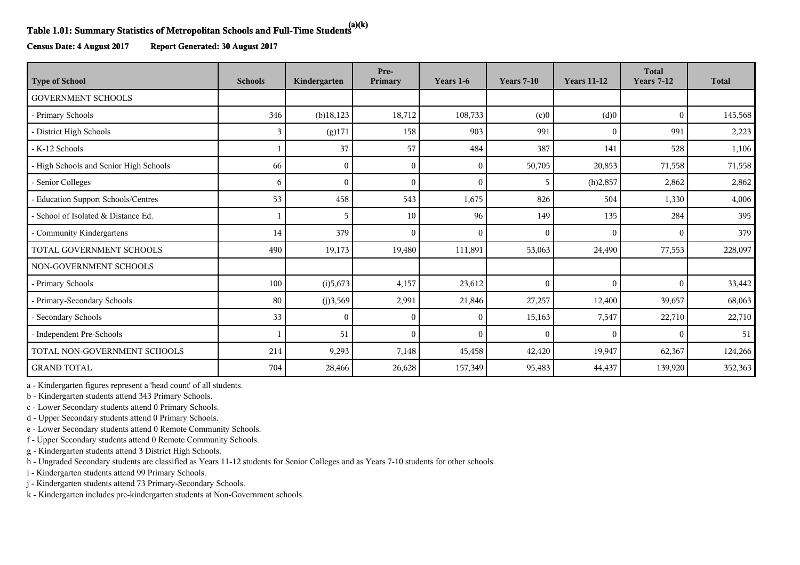## **Table 1.01: Summary Statistics of Metropolitan Schools and Full-Time Students(a)(k)**

**Census Date: 4 August 2017 Report Generated: 30 August 2017**

| <b>Type of School</b>                  | <b>Schools</b> | Kindergarten | Pre-<br>Primary | Years 1-6    | <b>Years 7-10</b> | <b>Years 11-12</b> | <b>Total</b><br><b>Years 7-12</b> | <b>Total</b> |
|----------------------------------------|----------------|--------------|-----------------|--------------|-------------------|--------------------|-----------------------------------|--------------|
| <b>GOVERNMENT SCHOOLS</b>              |                |              |                 |              |                   |                    |                                   |              |
| - Primary Schools                      | 346            | $(b)$ 18,123 | 18,712          | 108,733      | (c)0              | (d)0               | $\mathbf{0}$                      | 145,568      |
| - District High Schools                | 3              | (g)171       | 158             | 903          | 991               | $\Omega$           | 991                               | 2,223        |
| - K-12 Schools                         |                | 37           | 57              | 484          | 387               | 141                | 528                               | 1,106        |
| - High Schools and Senior High Schools | 66             | $\Omega$     | $\sqrt{ }$      | $\mathbf{0}$ | 50,705            | 20,853             | 71,558                            | 71,558       |
| - Senior Colleges                      | 6              | $\Omega$     | $\Omega$        | $\mathbf{0}$ | 5                 | (h)2,857           | 2,862                             | 2,862        |
| - Education Support Schools/Centres    | 53             | 458          | 543             | 1,675        | 826               | 504                | 1,330                             | 4,006        |
| - School of Isolated & Distance Ed.    |                | 5            | 10              | 96           | 149               | 135                | 284                               | 395          |
| Community Kindergartens                | 14             | 379          | $\sqrt{ }$      | $\mathbf{0}$ | $\theta$          | $\Omega$           | $\theta$                          | 379          |
| TOTAL GOVERNMENT SCHOOLS               | 490            | 19,173       | 19,480          | 111,891      | 53,063            | 24,490             | 77,553                            | 228,097      |
| NON-GOVERNMENT SCHOOLS                 |                |              |                 |              |                   |                    |                                   |              |
| - Primary Schools                      | 100            | (i)5,673     | 4,157           | 23,612       | $\theta$          | $\Omega$           | $\theta$                          | 33,442       |
| - Primary-Secondary Schools            | 80             | (j)3,569     | 2,991           | 21,846       | 27,257            | 12,400             | 39,657                            | 68,063       |
| - Secondary Schools                    | 33             | $\Omega$     | $\sqrt{ }$      | $\mathbf{0}$ | 15,163            | 7,547              | 22,710                            | 22,710       |
| - Independent Pre-Schools              |                | 51           | $\sqrt{ }$      | $\theta$     | $\theta$          | $\Omega$           | $\theta$                          | 51           |
| TOTAL NON-GOVERNMENT SCHOOLS           | 214            | 9,293        | 7,148           | 45,458       | 42,420            | 19,947             | 62,367                            | 124,266      |
| <b>GRAND TOTAL</b>                     | 704            | 28,466       | 26,628          | 157,349      | 95,483            | 44,437             | 139,920                           | 352,363      |

a - Kindergarten figures represent a 'head count' of all students.

b - Kindergarten students attend 343 Primary Schools.

c - Lower Secondary students attend 0 Primary Schools.

d - Upper Secondary students attend 0 Primary Schools.

e - Lower Secondary students attend 0 Remote Community Schools.

f - Upper Secondary students attend 0 Remote Community Schools.

g - Kindergarten students attend 3 District High Schools.

h - Ungraded Secondary students are classified as Years 11-12 students for Senior Colleges and as Years 7-10 students for other schools.

i - Kindergarten students attend 99 Primary Schools.

j - Kindergarten students attend 73 Primary-Secondary Schools.

k - Kindergarten includes pre-kindergarten students at Non-Government schools.